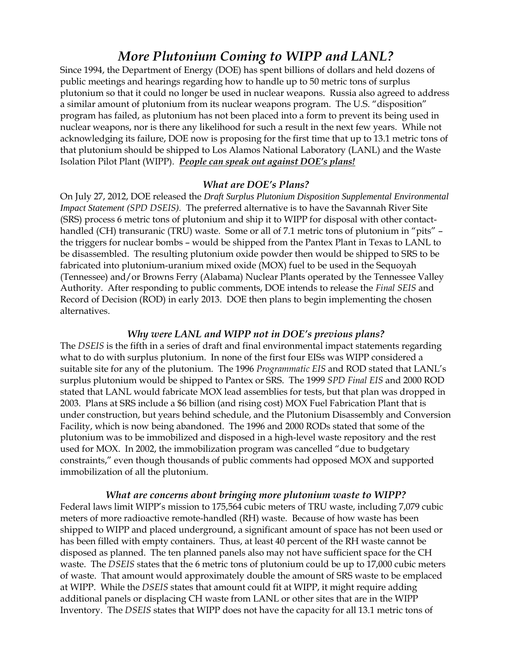# *More Plutonium Coming to WIPP and LANL?*

Since 1994, the Department of Energy (DOE) has spent billions of dollars and held dozens of public meetings and hearings regarding how to handle up to 50 metric tons of surplus plutonium so that it could no longer be used in nuclear weapons. Russia also agreed to address a similar amount of plutonium from its nuclear weapons program. The U.S. "disposition" program has failed, as plutonium has not been placed into a form to prevent its being used in nuclear weapons, nor is there any likelihood for such a result in the next few years. While not acknowledging its failure, DOE now is proposing for the first time that up to 13.1 metric tons of that plutonium should be shipped to Los Alamos National Laboratory (LANL) and the Waste Isolation Pilot Plant (WIPP). *People can speak out against DOE's plans!* 

#### *What are DOE's Plans?*

On July 27, 2012, DOE released the *Draft Surplus Plutonium Disposition Supplemental Environmental Impact Statement (SPD DSEIS).* The preferred alternative is to have the Savannah River Site (SRS) process 6 metric tons of plutonium and ship it to WIPP for disposal with other contacthandled (CH) transuranic (TRU) waste. Some or all of 7.1 metric tons of plutonium in "pits" – the triggers for nuclear bombs – would be shipped from the Pantex Plant in Texas to LANL to be disassembled. The resulting plutonium oxide powder then would be shipped to SRS to be fabricated into plutonium-uranium mixed oxide (MOX) fuel to be used in the Sequoyah (Tennessee) and/or Browns Ferry (Alabama) Nuclear Plants operated by the Tennessee Valley Authority. After responding to public comments, DOE intends to release the *Final SEIS* and Record of Decision (ROD) in early 2013. DOE then plans to begin implementing the chosen alternatives.

#### *Why were LANL and WIPP not in DOE's previous plans?*

The *DSEIS* is the fifth in a series of draft and final environmental impact statements regarding what to do with surplus plutonium. In none of the first four EISs was WIPP considered a suitable site for any of the plutonium. The 1996 *Programmatic EIS* and ROD stated that LANL's surplus plutonium would be shipped to Pantex or SRS. The 1999 *SPD Final EIS* and 2000 ROD stated that LANL would fabricate MOX lead assemblies for tests, but that plan was dropped in 2003. Plans at SRS include a \$6 billion (and rising cost) MOX Fuel Fabrication Plant that is under construction, but years behind schedule, and the Plutonium Disassembly and Conversion Facility, which is now being abandoned. The 1996 and 2000 RODs stated that some of the plutonium was to be immobilized and disposed in a high-level waste repository and the rest used for MOX. In 2002, the immobilization program was cancelled "due to budgetary constraints," even though thousands of public comments had opposed MOX and supported immobilization of all the plutonium.

*What are concerns about bringing more plutonium waste to WIPP?*  Federal laws limit WIPP's mission to 175,564 cubic meters of TRU waste, including 7,079 cubic meters of more radioactive remote-handled (RH) waste. Because of how waste has been shipped to WIPP and placed underground, a significant amount of space has not been used or has been filled with empty containers. Thus, at least 40 percent of the RH waste cannot be disposed as planned. The ten planned panels also may not have sufficient space for the CH waste. The *DSEIS* states that the 6 metric tons of plutonium could be up to 17,000 cubic meters of waste. That amount would approximately double the amount of SRS waste to be emplaced at WIPP. While the *DSEIS* states that amount could fit at WIPP, it might require adding additional panels or displacing CH waste from LANL or other sites that are in the WIPP Inventory. The *DSEIS* states that WIPP does not have the capacity for all 13.1 metric tons of